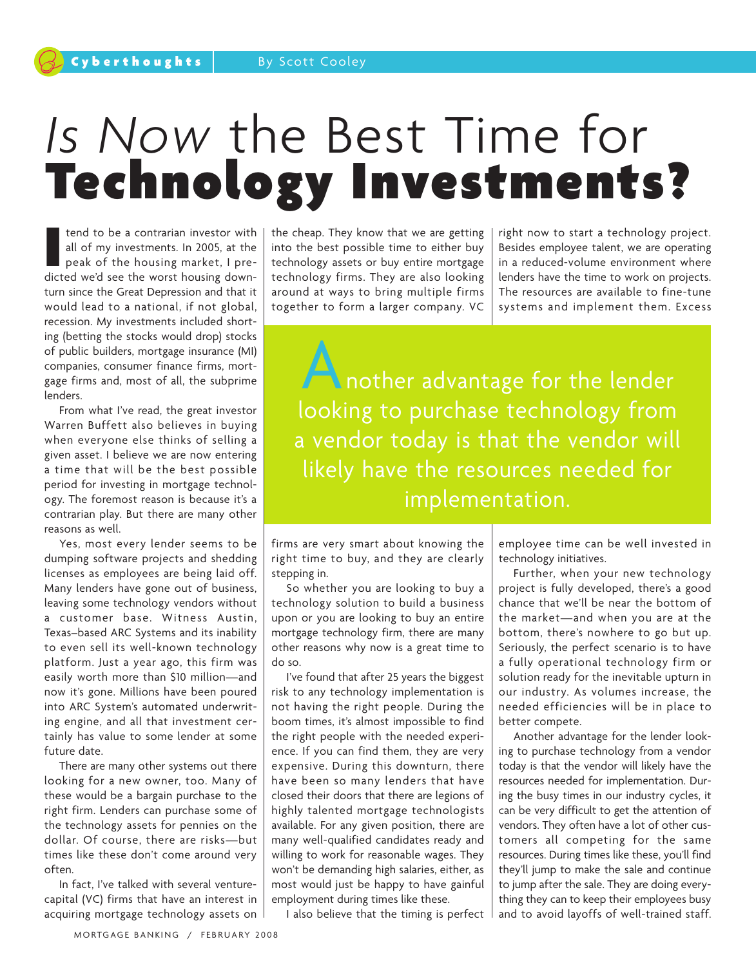## *Is Now* the Best Time for **Technology Investments?**

**I** tend to be a contrarian investor with all of my investments. In 2005, at the peak of the housing market, I predicted we'd see the worst housing downturn since the Great Depression and that it would lead to a national, if not global, recession. My investments included shorting (betting the stocks would drop) stocks of public builders, mortgage insurance (MI) companies, consumer finance firms, mortgage firms and, most of all, the subprime lenders.

From what I've read, the great investor Warren Buffett also believes in buying when everyone else thinks of selling a given asset. I believe we are now entering a time that will be the best possible period for investing in mortgage technology. The foremost reason is because it's a contrarian play. But there are many other reasons as well.

Yes, most every lender seems to be dumping software projects and shedding licenses as employees are being laid off. Many lenders have gone out of business, leaving some technology vendors without a customer base. Witness Austin, Texas–based ARC Systems and its inability to even sell its well-known technology platform. Just a year ago, this firm was easily worth more than \$10 million—and now it's gone. Millions have been poured into ARC System's automated underwriting engine, and all that investment certainly has value to some lender at some future date.

There are many other systems out there looking for a new owner, too. Many of these would be a bargain purchase to the right firm. Lenders can purchase some of the technology assets for pennies on the dollar. Of course, there are risks—but times like these don't come around very often.

In fact, I've talked with several venturecapital (VC) firms that have an interest in acquiring mortgage technology assets on the cheap. They know that we are getting into the best possible time to either buy technology assets or buy entire mortgage technology firms. They are also looking around at ways to bring multiple firms together to form a larger company. VC

right now to start a technology project. Besides employee talent, we are operating in a reduced-volume environment where lenders have the time to work on projects. The resources are available to fine-tune systems and implement them. Excess

Another advantage for the lender looking to purchase technology from a vendor today is that the vendor will likely have the resources needed for implementation.

firms are very smart about knowing the right time to buy, and they are clearly stepping in.

So whether you are looking to buy a technology solution to build a business upon or you are looking to buy an entire mortgage technology firm, there are many other reasons why now is a great time to do so.

I've found that after 25 years the biggest risk to any technology implementation is not having the right people. During the boom times, it's almost impossible to find the right people with the needed experience. If you can find them, they are very expensive. During this downturn, there have been so many lenders that have closed their doors that there are legions of highly talented mortgage technologists available. For any given position, there are many well-qualified candidates ready and willing to work for reasonable wages. They won't be demanding high salaries, either, as most would just be happy to have gainful employment during times like these.

I also believe that the timing is perfect

employee time can be well invested in technology initiatives.

Further, when your new technology project is fully developed, there's a good chance that we'll be near the bottom of the market—and when you are at the bottom, there's nowhere to go but up. Seriously, the perfect scenario is to have a fully operational technology firm or solution ready for the inevitable upturn in our industry. As volumes increase, the needed efficiencies will be in place to better compete.

Another advantage for the lender looking to purchase technology from a vendor today is that the vendor will likely have the resources needed for implementation. During the busy times in our industry cycles, it can be very difficult to get the attention of vendors. They often have a lot of other customers all competing for the same resources. During times like these, you'll find they'll jump to make the sale and continue to jump after the sale. They are doing everything they can to keep their employees busy and to avoid layoffs of well-trained staff.